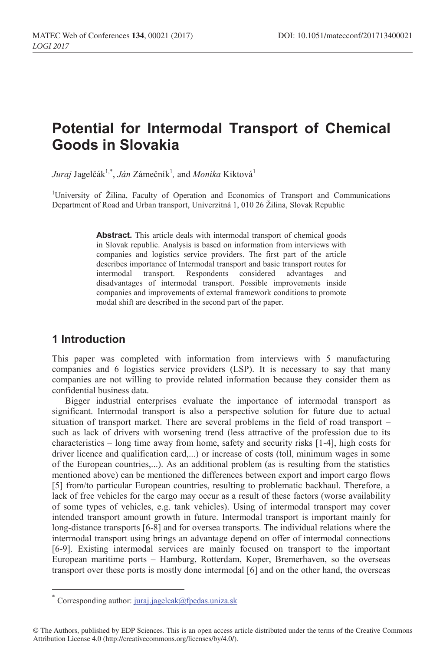# **Potential for Intermodal Transport of Chemical Goods in Slovakia**

*Juraj* Jagelčák<sup>1,\*</sup>, *Ján* Zámečník<sup>1</sup>, and *Monika* Kiktová<sup>1</sup>

<sup>1</sup>University of Žilina, Faculty of Operation and Economics of Transport and Communications Department of Road and Urban transport, Univerzitná 1, 010 26 Žilina, Slovak Republic

> **Abstract.** This article deals with intermodal transport of chemical goods in Slovak republic. Analysis is based on information from interviews with companies and logistics service providers. The first part of the article describes importance of Intermodal transport and basic transport routes for intermodal transport. Respondents considered advantages and disadvantages of intermodal transport. Possible improvements inside companies and improvements of external framework conditions to promote modal shift are described in the second part of the paper.

# **1 Introduction**

This paper was completed with information from interviews with 5 manufacturing companies and 6 logistics service providers (LSP). It is necessary to say that many companies are not willing to provide related information because they consider them as confidential business data.

Bigger industrial enterprises evaluate the importance of intermodal transport as significant. Intermodal transport is also a perspective solution for future due to actual situation of transport market. There are several problems in the field of road transport – such as lack of drivers with worsening trend (less attractive of the profession due to its characteristics – long time away from home, safety and security risks [1-4], high costs for driver licence and qualification card,...) or increase of costs (toll, minimum wages in some of the European countries,...). As an additional problem (as is resulting from the statistics mentioned above) can be mentioned the differences between export and import cargo flows [5] from/to particular European countries, resulting to problematic backhaul. Therefore, a lack of free vehicles for the cargo may occur as a result of these factors (worse availability of some types of vehicles, e.g. tank vehicles). Using of intermodal transport may cover intended transport amount growth in future. Intermodal transport is important mainly for long-distance transports [6-8] and for oversea transports. The individual relations where the intermodal transport using brings an advantage depend on offer of intermodal connections [6-9]. Existing intermodal services are mainly focused on transport to the important European maritime ports – Hamburg, Rotterdam, Koper, Bremerhaven, so the overseas transport over these ports is mostly done intermodal [6] and on the other hand, the overseas

<sup>\*</sup> Corresponding author: juraj.jagelcak@fpedas.uniza.sk

<sup>©</sup> The Authors, published by EDP Sciences. This is an open access article distributed under the terms of the Creative Commons Attribution License 4.0 (http://creativecommons.org/licenses/by/4.0/).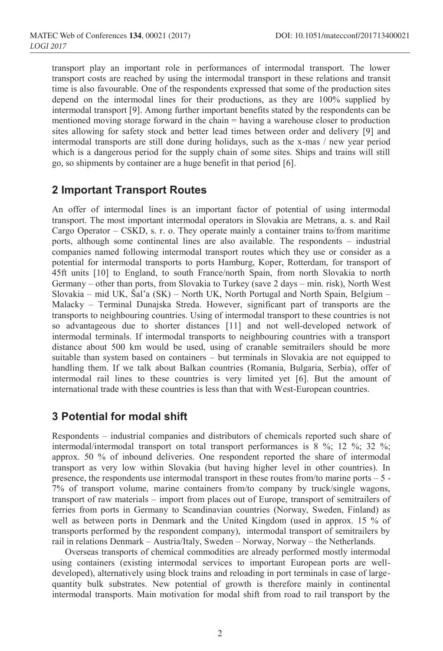transport play an important role in performances of intermodal transport. The lower transport costs are reached by using the intermodal transport in these relations and transit time is also favourable. One of the respondents expressed that some of the production sites depend on the intermodal lines for their productions, as they are 100% supplied by intermodal transport [9]. Among further important benefits stated by the respondents can be mentioned moving storage forward in the chain = having a warehouse closer to production sites allowing for safety stock and better lead times between order and delivery [9] and intermodal transports are still done during holidays, such as the x-mas / new year period which is a dangerous period for the supply chain of some sites. Ships and trains will still go, so shipments by container are a huge benefit in that period [6].

# **2 Important Transport Routes**

An offer of intermodal lines is an important factor of potential of using intermodal transport. The most important intermodal operators in Slovakia are Metrans, a. s. and Rail Cargo Operator – CSKD, s. r. o. They operate mainly a container trains to/from maritime ports, although some continental lines are also available. The respondents – industrial companies named following intermodal transport routes which they use or consider as a potential for intermodal transports to ports Hamburg, Koper, Rotterdam, for transport of 45ft units [10] to England, to south France/north Spain, from north Slovakia to north Germany – other than ports, from Slovakia to Turkey (save 2 days – min. risk), North West Slovakia – mid UK, Šal'a (SK) – North UK, North Portugal and North Spain, Belgium – Malacky – Terminal Dunajska Streda. However, significant part of transports are the transports to neighbouring countries. Using of intermodal transport to these countries is not so advantageous due to shorter distances [11] and not well-developed network of intermodal terminals. If intermodal transports to neighbouring countries with a transport distance about 500 km would be used, using of cranable semitrailers should be more suitable than system based on containers – but terminals in Slovakia are not equipped to handling them. If we talk about Balkan countries (Romania, Bulgaria, Serbia), offer of intermodal rail lines to these countries is very limited yet [6]. But the amount of international trade with these countries is less than that with West-European countries.

#### **3 Potential for modal shift**

Respondents – industrial companies and distributors of chemicals reported such share of intermodal/intermodal transport on total transport performances is 8 %; 12 %; 32 %; approx. 50 % of inbound deliveries. One respondent reported the share of intermodal transport as very low within Slovakia (but having higher level in other countries). In presence, the respondents use intermodal transport in these routes from/to marine ports  $-5$  -7% of transport volume, marine containers from/to company by truck/single wagons, transport of raw materials – import from places out of Europe, transport of semitrailers of ferries from ports in Germany to Scandinavian countries (Norway, Sweden, Finland) as well as between ports in Denmark and the United Kingdom (used in approx. 15 % of transports performed by the respondent company), intermodal transport of semitrailers by rail in relations Denmark – Austria/Italy, Sweden – Norway, Norway – the Netherlands.

Overseas transports of chemical commodities are already performed mostly intermodal using containers (existing intermodal services to important European ports are welldeveloped), alternatively using block trains and reloading in port terminals in case of largequantity bulk substrates. New potential of growth is therefore mainly in continental intermodal transports. Main motivation for modal shift from road to rail transport by the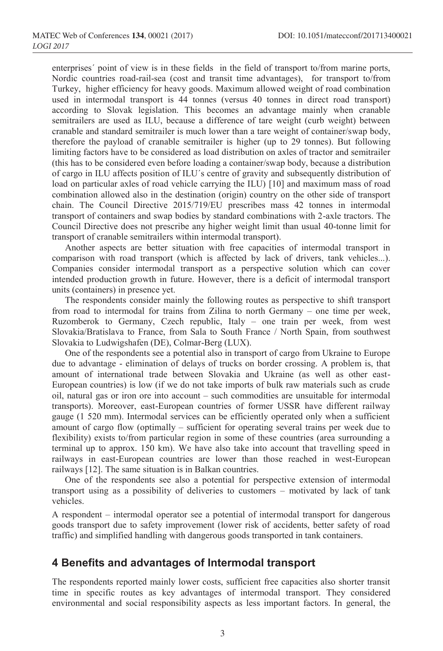enterprises´ point of view is in these fields in the field of transport to/from marine ports, Nordic countries road-rail-sea (cost and transit time advantages), for transport to/from Turkey, higher efficiency for heavy goods. Maximum allowed weight of road combination used in intermodal transport is 44 tonnes (versus 40 tonnes in direct road transport) according to Slovak legislation. This becomes an advantage mainly when cranable semitrailers are used as ILU, because a difference of tare weight (curb weight) between cranable and standard semitrailer is much lower than a tare weight of container/swap body, therefore the payload of cranable semitrailer is higher (up to 29 tonnes). But following limiting factors have to be considered as load distribution on axles of tractor and semitrailer (this has to be considered even before loading a container/swap body, because a distribution of cargo in ILU affects position of ILU´s centre of gravity and subsequently distribution of load on particular axles of road vehicle carrying the ILU) [10] and maximum mass of road combination allowed also in the destination (origin) country on the other side of transport chain. The Council Directive 2015/719/EU prescribes mass 42 tonnes in intermodal transport of containers and swap bodies by standard combinations with 2-axle tractors. The Council Directive does not prescribe any higher weight limit than usual 40-tonne limit for transport of cranable semitrailers within intermodal transport).

Another aspects are better situation with free capacities of intermodal transport in comparison with road transport (which is affected by lack of drivers, tank vehicles...). Companies consider intermodal transport as a perspective solution which can cover intended production growth in future. However, there is a deficit of intermodal transport units (containers) in presence yet.

The respondents consider mainly the following routes as perspective to shift transport from road to intermodal for trains from Zilina to north Germany – one time per week, Ruzomberok to Germany, Czech republic, Italy – one train per week, from west Slovakia/Bratislava to France, from Sala to South France / North Spain, from southwest Slovakia to Ludwigshafen (DE), Colmar-Berg (LUX).

One of the respondents see a potential also in transport of cargo from Ukraine to Europe due to advantage - elimination of delays of trucks on border crossing. A problem is, that amount of international trade between Slovakia and Ukraine (as well as other east-European countries) is low (if we do not take imports of bulk raw materials such as crude oil, natural gas or iron ore into account – such commodities are unsuitable for intermodal transports). Moreover, east-European countries of former USSR have different railway gauge (1 520 mm). Intermodal services can be efficiently operated only when a sufficient amount of cargo flow (optimally – sufficient for operating several trains per week due to flexibility) exists to/from particular region in some of these countries (area surrounding a terminal up to approx. 150 km). We have also take into account that travelling speed in railways in east-European countries are lower than those reached in west-European railways [12]. The same situation is in Balkan countries.

One of the respondents see also a potential for perspective extension of intermodal transport using as a possibility of deliveries to customers – motivated by lack of tank vehicles.

A respondent – intermodal operator see a potential of intermodal transport for dangerous goods transport due to safety improvement (lower risk of accidents, better safety of road traffic) and simplified handling with dangerous goods transported in tank containers.

#### **4 Benefits and advantages of Intermodal transport**

The respondents reported mainly lower costs, sufficient free capacities also shorter transit time in specific routes as key advantages of intermodal transport. They considered environmental and social responsibility aspects as less important factors. In general, the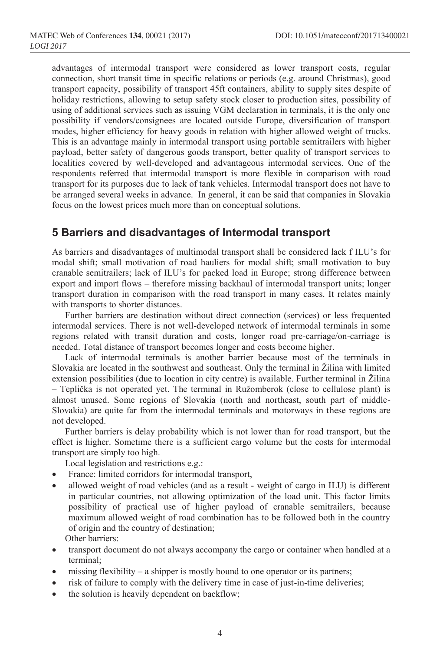advantages of intermodal transport were considered as lower transport costs, regular connection, short transit time in specific relations or periods (e.g. around Christmas), good transport capacity, possibility of transport 45ft containers, ability to supply sites despite of holiday restrictions, allowing to setup safety stock closer to production sites, possibility of using of additional services such as issuing VGM declaration in terminals, it is the only one possibility if vendors/consignees are located outside Europe, diversification of transport modes, higher efficiency for heavy goods in relation with higher allowed weight of trucks. This is an advantage mainly in intermodal transport using portable semitrailers with higher payload, better safety of dangerous goods transport, better quality of transport services to localities covered by well-developed and advantageous intermodal services. One of the respondents referred that intermodal transport is more flexible in comparison with road transport for its purposes due to lack of tank vehicles. Intermodal transport does not have to be arranged several weeks in advance. In general, it can be said that companies in Slovakia focus on the lowest prices much more than on conceptual solutions.

#### **5 Barriers and disadvantages of Intermodal transport**

As barriers and disadvantages of multimodal transport shall be considered lack f ILU's for modal shift; small motivation of road hauliers for modal shift; small motivation to buy cranable semitrailers; lack of ILU's for packed load in Europe; strong difference between export and import flows – therefore missing backhaul of intermodal transport units; longer transport duration in comparison with the road transport in many cases. It relates mainly with transports to shorter distances.

Further barriers are destination without direct connection (services) or less frequented intermodal services. There is not well-developed network of intermodal terminals in some regions related with transit duration and costs, longer road pre-carriage/on-carriage is needed. Total distance of transport becomes longer and costs become higher.

Lack of intermodal terminals is another barrier because most of the terminals in Slovakia are located in the southwest and southeast. Only the terminal in Žilina with limited extension possibilities (due to location in city centre) is available. Further terminal in Žilina – Teplička is not operated yet. The terminal in Ružomberok (close to cellulose plant) is almost unused. Some regions of Slovakia (north and northeast, south part of middle-Slovakia) are quite far from the intermodal terminals and motorways in these regions are not developed.

Further barriers is delay probability which is not lower than for road transport, but the effect is higher. Sometime there is a sufficient cargo volume but the costs for intermodal transport are simply too high.

Local legislation and restrictions e.g.:

- France: limited corridors for intermodal transport,
- allowed weight of road vehicles (and as a result weight of cargo in ILU) is different in particular countries, not allowing optimization of the load unit. This factor limits possibility of practical use of higher payload of cranable semitrailers, because maximum allowed weight of road combination has to be followed both in the country of origin and the country of destination;

Other barriers:

- transport document do not always accompany the cargo or container when handled at a terminal;
- missing flexibility a shipper is mostly bound to one operator or its partners;
- risk of failure to comply with the delivery time in case of just-in-time deliveries;
- the solution is heavily dependent on backflow;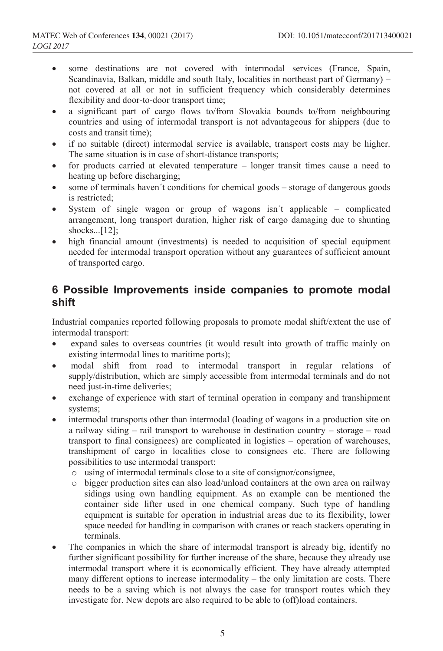- some destinations are not covered with intermodal services (France, Spain, Scandinavia, Balkan, middle and south Italy, localities in northeast part of Germany) – not covered at all or not in sufficient frequency which considerably determines flexibility and door-to-door transport time;
- a significant part of cargo flows to/from Slovakia bounds to/from neighbouring countries and using of intermodal transport is not advantageous for shippers (due to costs and transit time);
- if no suitable (direct) intermodal service is available, transport costs may be higher. The same situation is in case of short-distance transports;
- for products carried at elevated temperature longer transit times cause a need to heating up before discharging;
- some of terminals haven´t conditions for chemical goods storage of dangerous goods is restricted;
- System of single wagon or group of wagons isn´t applicable complicated arrangement, long transport duration, higher risk of cargo damaging due to shunting shocks...[12];
- high financial amount (investments) is needed to acquisition of special equipment needed for intermodal transport operation without any guarantees of sufficient amount of transported cargo.

# **6 Possible Improvements inside companies to promote modal shift**

Industrial companies reported following proposals to promote modal shift/extent the use of intermodal transport:

- expand sales to overseas countries (it would result into growth of traffic mainly on existing intermodal lines to maritime ports);
- modal shift from road to intermodal transport in regular relations of supply/distribution, which are simply accessible from intermodal terminals and do not need just-in-time deliveries;
- exchange of experience with start of terminal operation in company and transhipment systems;
- intermodal transports other than intermodal (loading of wagons in a production site on a railway siding – rail transport to warehouse in destination country – storage – road transport to final consignees) are complicated in logistics – operation of warehouses, transhipment of cargo in localities close to consignees etc. There are following possibilities to use intermodal transport:
	- o using of intermodal terminals close to a site of consignor/consignee,
	- o bigger production sites can also load/unload containers at the own area on railway sidings using own handling equipment. As an example can be mentioned the container side lifter used in one chemical company. Such type of handling equipment is suitable for operation in industrial areas due to its flexibility, lower space needed for handling in comparison with cranes or reach stackers operating in terminals.
- The companies in which the share of intermodal transport is already big, identify no further significant possibility for further increase of the share, because they already use intermodal transport where it is economically efficient. They have already attempted many different options to increase intermodality – the only limitation are costs. There needs to be a saving which is not always the case for transport routes which they investigate for. New depots are also required to be able to (off)load containers.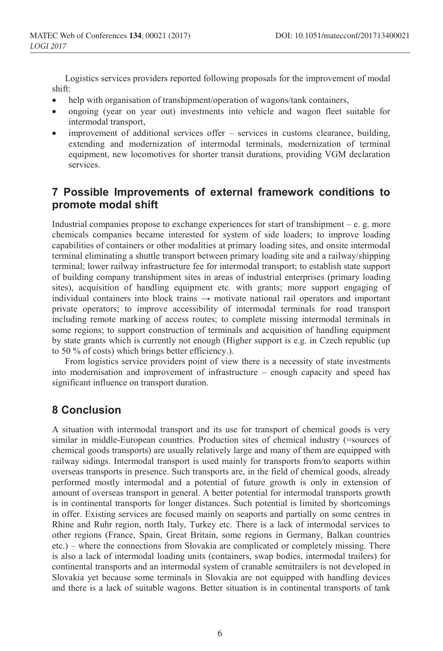Logistics services providers reported following proposals for the improvement of modal shift:

- help with organisation of transhipment/operation of wagons/tank containers,
- ongoing (year on year out) investments into vehicle and wagon fleet suitable for intermodal transport,
- improvement of additional services offer services in customs clearance, building, extending and modernization of intermodal terminals, modernization of terminal equipment, new locomotives for shorter transit durations, providing VGM declaration services.

# **7 Possible Improvements of external framework conditions to promote modal shift**

Industrial companies propose to exchange experiences for start of transhipment – e. g. more chemicals companies became interested for system of side loaders; to improve loading capabilities of containers or other modalities at primary loading sites, and onsite intermodal terminal eliminating a shuttle transport between primary loading site and a railway/shipping terminal; lower railway infrastructure fee for intermodal transport; to establish state support of building company transhipment sites in areas of industrial enterprises (primary loading sites), acquisition of handling equipment etc. with grants; more support engaging of individual containers into block trains  $\rightarrow$  motivate national rail operators and important private operators; to improve accessibility of intermodal terminals for road transport including remote marking of access routes; to complete missing intermodal terminals in some regions; to support construction of terminals and acquisition of handling equipment by state grants which is currently not enough (Higher support is e.g. in Czech republic (up to 50 % of costs) which brings better efficiency.).

From logistics service providers point of view there is a necessity of state investments into modernisation and improvement of infrastructure – enough capacity and speed has significant influence on transport duration.

# **8 Conclusion**

A situation with intermodal transport and its use for transport of chemical goods is very similar in middle-European countries. Production sites of chemical industry (=sources of chemical goods transports) are usually relatively large and many of them are equipped with railway sidings. Intermodal transport is used mainly for transports from/to seaports within overseas transports in presence. Such transports are, in the field of chemical goods, already performed mostly intermodal and a potential of future growth is only in extension of amount of overseas transport in general. A better potential for intermodal transports growth is in continental transports for longer distances. Such potential is limited by shortcomings in offer. Existing services are focused mainly on seaports and partially on some centres in Rhine and Ruhr region, north Italy, Turkey etc. There is a lack of intermodal services to other regions (France, Spain, Great Britain, some regions in Germany, Balkan countries etc.) – where the connections from Slovakia are complicated or completely missing. There is also a lack of intermodal loading units (containers, swap bodies, intermodal trailers) for continental transports and an intermodal system of cranable semitrailers is not developed in Slovakia yet because some terminals in Slovakia are not equipped with handling devices and there is a lack of suitable wagons. Better situation is in continental transports of tank